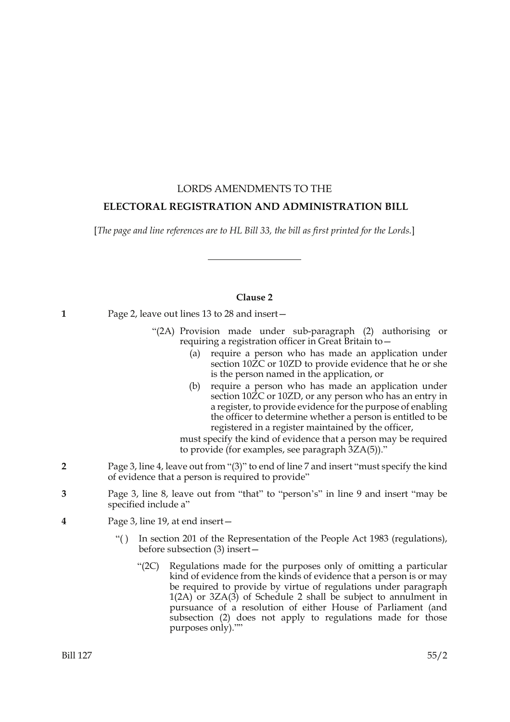# LORDS AMENDMENTS TO THE  **ELECTORAL REGISTRATION AND ADMINISTRATION BILL**

[*The page and line references are to HL Bill 33, the bill as first printed for the Lords.*]

## **Clause 2**

**1** Page 2, leave out lines 13 to 28 and insert—

- "(2A) Provision made under sub-paragraph (2) authorising or requiring a registration officer in Great Britain to—
	- (a) require a person who has made an application under section 10 $\overline{2}C$  or 10ZD to provide evidence that he or she is the person named in the application, or
	- (b) require a person who has made an application under section 10 $\overline{Z}C$  or 10ZD, or any person who has an entry in a register, to provide evidence for the purpose of enabling the officer to determine whether a person is entitled to be registered in a register maintained by the officer,

must specify the kind of evidence that a person may be required to provide (for examples, see paragraph 3ZA(5))."

- **2** Page 3, line 4, leave out from "(3)" to end of line 7 and insert "must specify the kind of evidence that a person is required to provide"
- **3** Page 3, line 8, leave out from "that" to "person's" in line 9 and insert "may be specified include a"
- **4** Page 3, line 19, at end insert—
	- "( ) In section 201 of the Representation of the People Act 1983 (regulations), before subsection (3) insert—
		- "(2C) Regulations made for the purposes only of omitting a particular kind of evidence from the kinds of evidence that a person is or may be required to provide by virtue of regulations under paragraph  $1(2A)$  or  $3ZA(3)$  of Schedule 2 shall be subject to annulment in pursuance of a resolution of either House of Parliament (and subsection (2) does not apply to regulations made for those purposes only).""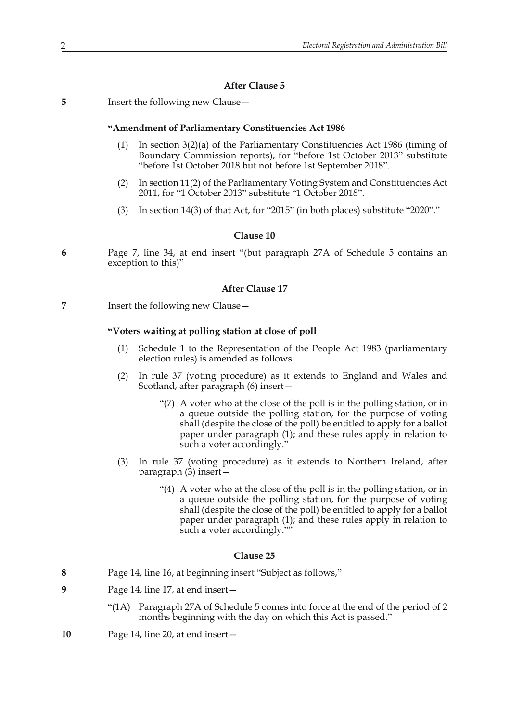## **After Clause 5**

**5** Insert the following new Clause—

#### **"Amendment of Parliamentary Constituencies Act 1986**

- (1) In section 3(2)(a) of the Parliamentary Constituencies Act 1986 (timing of Boundary Commission reports), for "before 1st October 2013" substitute "before 1st October 2018 but not before 1st September 2018".
- (2) In section 11(2) of the Parliamentary Voting System and Constituencies Act 2011, for "1 October 2013" substitute "1 October 2018".
- (3) In section 14(3) of that Act, for "2015" (in both places) substitute "2020"."

#### **Clause 10**

**6** Page 7, line 34, at end insert "(but paragraph 27A of Schedule 5 contains an exception to this)"

#### **After Clause 17**

**7** Insert the following new Clause—

#### **"Voters waiting at polling station at close of poll**

- (1) Schedule 1 to the Representation of the People Act 1983 (parliamentary election rules) is amended as follows.
- (2) In rule 37 (voting procedure) as it extends to England and Wales and Scotland, after paragraph (6) insert—
	- "(7) A voter who at the close of the poll is in the polling station, or in a queue outside the polling station, for the purpose of voting shall (despite the close of the poll) be entitled to apply for a ballot paper under paragraph (1); and these rules apply in relation to such a voter accordingly."
- (3) In rule 37 (voting procedure) as it extends to Northern Ireland, after paragraph (3) insert—
	- "(4) A voter who at the close of the poll is in the polling station, or in a queue outside the polling station, for the purpose of voting shall (despite the close of the poll) be entitled to apply for a ballot paper under paragraph (1); and these rules apply in relation to such a voter accordingly."

#### **Clause 25**

- **8** Page 14, line 16, at beginning insert "Subject as follows,"
- **9** Page 14, line 17, at end insert—
	- "(1A) Paragraph 27A of Schedule 5 comes into force at the end of the period of 2 months beginning with the day on which this Act is passed."
- **10** Page 14, line 20, at end insert—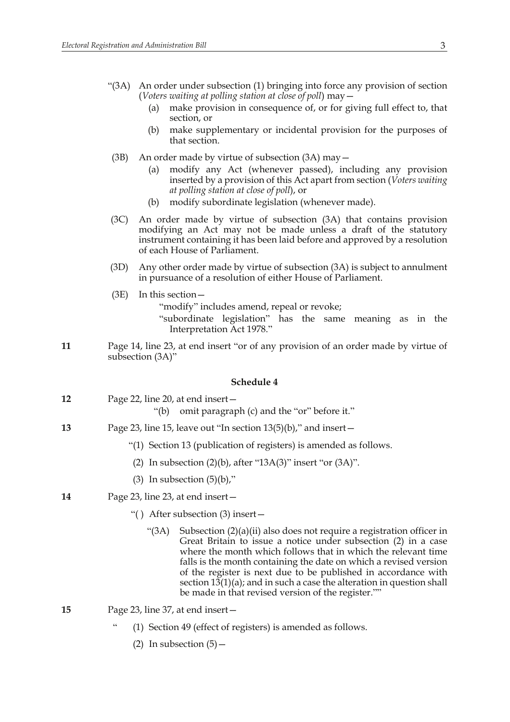- "(3A) An order under subsection (1) bringing into force any provision of section (*Voters waiting at polling station at close of poll*) may—
	- (a) make provision in consequence of, or for giving full effect to, that section, or
	- (b) make supplementary or incidental provision for the purposes of that section.
- (3B) An order made by virtue of subsection (3A) may—
	- (a) modify any Act (whenever passed), including any provision inserted by a provision of this Act apart from section (*Voters waiting at polling station at close of poll*), or
	- (b) modify subordinate legislation (whenever made).
- (3C) An order made by virtue of subsection (3A) that contains provision modifying an Act may not be made unless a draft of the statutory instrument containing it has been laid before and approved by a resolution of each House of Parliament.
- (3D) Any other order made by virtue of subsection (3A) is subject to annulment in pursuance of a resolution of either House of Parliament.
- (3E) In this section—

"modify" includes amend, repeal or revoke;

- "subordinate legislation" has the same meaning as in the Interpretation Act 1978."
- **11** Page 14, line 23, at end insert "or of any provision of an order made by virtue of subsection (3A)"

#### **Schedule 4**

- **12** Page 22, line 20, at end insert—
	- "(b) omit paragraph (c) and the "or" before it."
- **13** Page 23, line 15, leave out "In section 13(5)(b)," and insert—
	- "(1) Section 13 (publication of registers) is amended as follows.
	- (2) In subsection  $(2)(b)$ , after "13A $(3)$ " insert "or  $(3A)$ ".
	- (3) In subsection  $(5)(b)$ ,"
- **14** Page 23, line 23, at end insert—
	- "( ) After subsection (3) insert—
		- "(3A) Subsection  $(2)(a)(ii)$  also does not require a registration officer in Great Britain to issue a notice under subsection (2) in a case where the month which follows that in which the relevant time falls is the month containing the date on which a revised version of the register is next due to be published in accordance with section 13(1)(a); and in such a case the alteration in question shall be made in that revised version of the register.""
- **15** Page 23, line 37, at end insert—
	- (1) Section 49 (effect of registers) is amended as follows.
		- (2) In subsection  $(5)$  –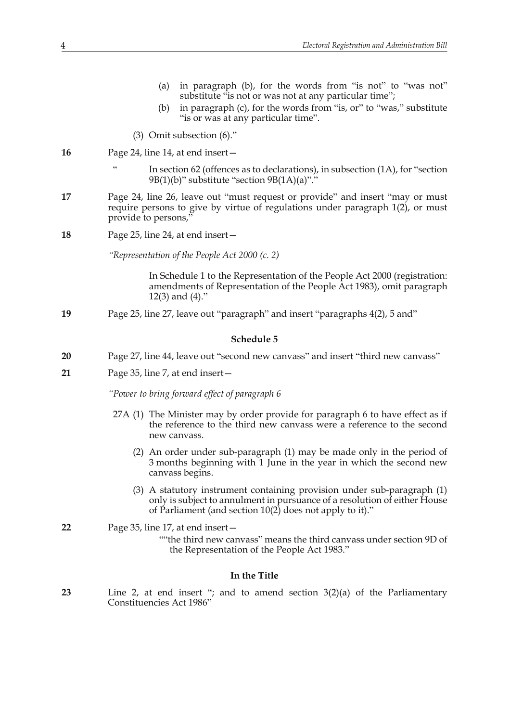- (a) in paragraph (b), for the words from "is not" to "was not" substitute "is not or was not at any particular time";
- (b) in paragraph (c), for the words from "is, or" to "was," substitute "is or was at any particular time".
- (3) Omit subsection (6)."
- **16** Page 24, line 14, at end insert—
	- In section 62 (offences as to declarations), in subsection  $(1A)$ , for "section 9B(1)(b)" substitute "section 9B(1A)(a)"."
- **17** Page 24, line 26, leave out "must request or provide" and insert "may or must require persons to give by virtue of regulations under paragraph 1(2), or must provide to persons,"
- **18** Page 25, line 24, at end insert—

*"Representation of the People Act 2000 (c. 2)*

In Schedule 1 to the Representation of the People Act 2000 (registration: amendments of Representation of the People Act 1983), omit paragraph 12(3) and (4)."

**19** Page 25, line 27, leave out "paragraph" and insert "paragraphs 4(2), 5 and"

#### **Schedule 5**

- **20** Page 27, line 44, leave out "second new canvass" and insert "third new canvass"
- **21** Page 35, line 7, at end insert—

*"Power to bring forward effect of paragraph 6*

- 27A (1) The Minister may by order provide for paragraph 6 to have effect as if the reference to the third new canvass were a reference to the second new canvass.
	- (2) An order under sub-paragraph (1) may be made only in the period of 3 months beginning with 1 June in the year in which the second new canvass begins.
	- (3) A statutory instrument containing provision under sub-paragraph (1) only is subject to annulment in pursuance of a resolution of either House of Parliament (and section  $10(2)$  does not apply to it)."

**22** Page 35, line 17, at end insert—

""the third new canvass" means the third canvass under section 9D of the Representation of the People Act 1983."

### **In the Title**

**23** Line 2, at end insert "; and to amend section 3(2)(a) of the Parliamentary Constituencies Act 1986"